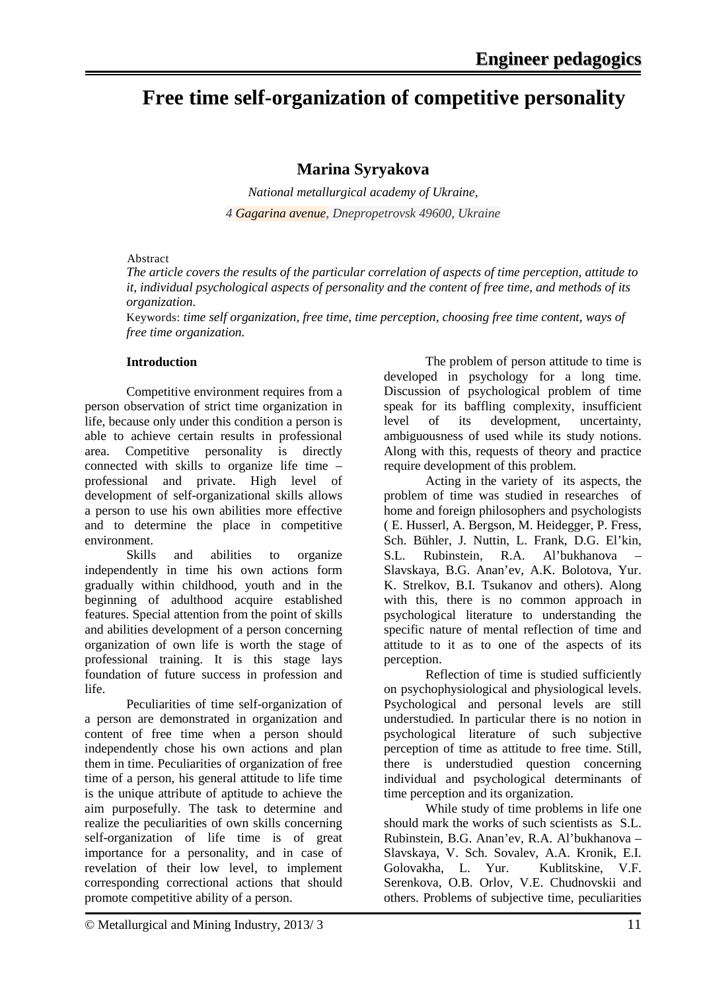# **Free time self-organization of competitive personality**

## **Marina Syryakova**

*National metallurgical academy of Ukraine, 4 Gagarina avenue, Dnepropetrovsk 49600, Ukraine*

#### Abstract

*The article covers the results of the particular correlation of aspects of time perception, attitude to it, individual psychological aspects of personality and the content of free time, and methods of its organization.* 

Keywords: *time self organization, free time, time perception, choosing free time content, ways of free time organization.*

### **Introduction**

Competitive environment requires from a person observation of strict time organization in life, because only under this condition a person is able to achieve certain results in professional area. Competitive personality is directly connected with skills to organize life time – professional and private. High level of development of self-organizational skills allows a person to use his own abilities more effective and to determine the place in competitive environment.

Skills and abilities to organize independently in time his own actions form gradually within childhood, youth and in the beginning of adulthood acquire established features. Special attention from the point of skills and abilities development of a person concerning organization of own life is worth the stage of professional training. It is this stage lays foundation of future success in profession and life.

Peculiarities of time self-organization of a person are demonstrated in organization and content of free time when a person should independently chose his own actions and plan them in time. Peculiarities of organization of free time of a person, his general attitude to life time is the unique attribute of aptitude to achieve the aim purposefully. The task to determine and realize the peculiarities of own skills concerning self-organization of life time is of great importance for a personality, and in case of revelation of their low level, to implement corresponding correctional actions that should promote competitive ability of a person.

The problem of person attitude to time is developed in psychology for a long time. Discussion of psychological problem of time speak for its baffling complexity, insufficient level of its development, uncertainty, ambiguousness of used while its study notions. Along with this, requests of theory and practice require development of this problem.

Acting in the variety of its aspects, the problem of time was studied in researches of home and foreign philosophers and psychologists ( E. Husserl, A. Bergson, M. Heidegger, P. Fress, Sch. Bühler, J. Nuttin, L. Frank, D.G. El'kin, S.L. Rubinstein, R.A. Al'bukhanova – Slavskaya, B.G. Anan'ev, A.K. Bolotova, Yur. K. Strelkov, B.I. Tsukanov and others). Along with this, there is no common approach in psychological literature to understanding the specific nature of mental reflection of time and attitude to it as to one of the aspects of its perception.

Reflection of time is studied sufficiently on psychophysiological and physiological levels. Psychological and personal levels are still understudied. In particular there is no notion in psychological literature of such subjective perception of time as attitude to free time. Still, there is understudied question concerning individual and psychological determinants of time perception and its organization.

While study of time problems in life one should mark the works of such scientists as S.L. Rubinstein, B.G. Anan'ev, R.A. Al'bukhanova – Slavskaya, V. Sch. Sovalev, A.A. Kronik, E.I. Golovakha, L. Yur. Kublitskine, V.F. Serenkova, O.B. Orlov, V.E. Chudnovskii and others. Problems of subjective time, peculiarities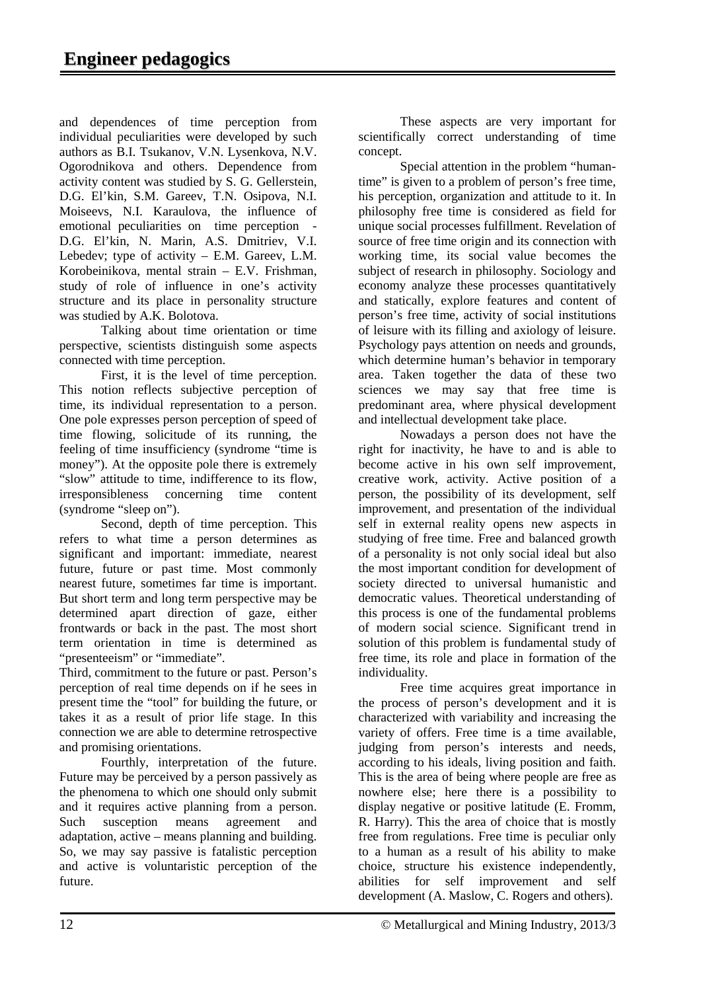and dependences of time perception from individual peculiarities were developed by such authors as B.I. Tsukanov, V.N. Lysenkova, N.V. Ogorodnikova and others. Dependence from activity content was studied by S. G. Gellerstein, D.G. El'kin, S.M. Gareev, T.N. Osipova, N.I. Moiseevs, N.I. Karaulova, the influence of emotional peculiarities on time perception - D.G. El'kin, N. Marin, A.S. Dmitriev, V.I. Lebedev; type of activity – E.M. Gareev, L.M. Korobeinikova, mental strain – E.V. Frishman, study of role of influence in one's activity structure and its place in personality structure was studied by A.K. Bolotova.

Talking about time orientation or time perspective, scientists distinguish some aspects connected with time perception.

First, it is the level of time perception. This notion reflects subjective perception of time, its individual representation to a person. One pole expresses person perception of speed of time flowing, solicitude of its running, the feeling of time insufficiency (syndrome "time is money"). At the opposite pole there is extremely "slow" attitude to time, indifference to its flow, irresponsibleness concerning time content (syndrome "sleep on").

Second, depth of time perception. This refers to what time a person determines as significant and important: immediate, nearest future, future or past time. Most commonly nearest future, sometimes far time is important. But short term and long term perspective may be determined apart direction of gaze, either frontwards or back in the past. The most short term orientation in time is determined as "presenteeism" or "immediate".

Third, commitment to the future or past. Person's perception of real time depends on if he sees in present time the "tool" for building the future, or takes it as a result of prior life stage. In this connection we are able to determine retrospective and promising orientations.

Fourthly, interpretation of the future. Future may be perceived by a person passively as the phenomena to which one should only submit and it requires active planning from a person. Such susception means agreement and adaptation, active – means planning and building. So, we may say passive is fatalistic perception and active is voluntaristic perception of the future.

These aspects are very important for scientifically correct understanding of time concept.

Special attention in the problem "humantime" is given to a problem of person's free time, his perception, organization and attitude to it. In philosophy free time is considered as field for unique social processes fulfillment. Revelation of source of free time origin and its connection with working time, its social value becomes the subject of research in philosophy. Sociology and economy analyze these processes quantitatively and statically, explore features and content of person's free time, activity of social institutions of leisure with its filling and axiology of leisure. Psychology pays attention on needs and grounds, which determine human's behavior in temporary area. Taken together the data of these two sciences we may say that free time is predominant area, where physical development and intellectual development take place.

Nowadays a person does not have the right for inactivity, he have to and is able to become active in his own self improvement, creative work, activity. Active position of a person, the possibility of its development, self improvement, and presentation of the individual self in external reality opens new aspects in studying of free time. Free and balanced growth of a personality is not only social ideal but also the most important condition for development of society directed to universal humanistic and democratic values. Theoretical understanding of this process is one of the fundamental problems of modern social science. Significant trend in solution of this problem is fundamental study of free time, its role and place in formation of the individuality.

Free time acquires great importance in the process of person's development and it is characterized with variability and increasing the variety of offers. Free time is a time available, judging from person's interests and needs, according to his ideals, living position and faith. This is the area of being where people are free as nowhere else; here there is a possibility to display negative or positive latitude (E. Fromm, R. Harry). This the area of choice that is mostly free from regulations. Free time is peculiar only to a human as a result of his ability to make choice, structure his existence independently, abilities for self improvement and self development (A. Maslow, C. Rogers and others).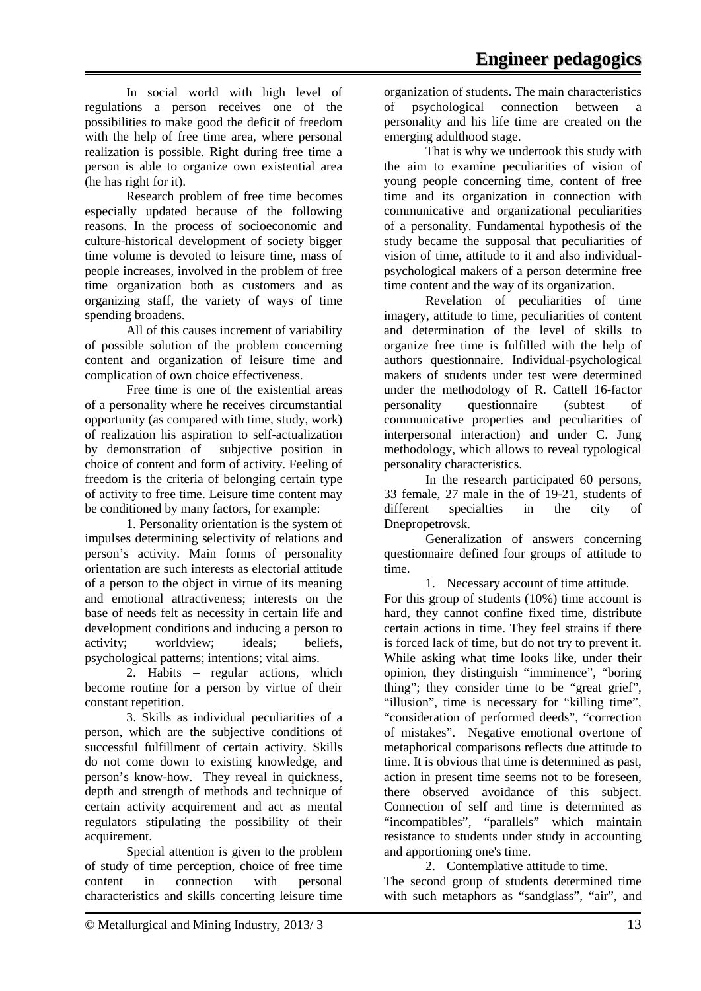Research problem of free time becomes especially updated because of the following reasons. In the process of socioeconomic and culture-historical development of society bigger time volume is devoted to leisure time, mass of people increases, involved in the problem of free time organization both as customers and as organizing staff, the variety of ways of time spending broadens.

All of this causes increment of variability of possible solution of the problem concerning content and organization of leisure time and complication of own choice effectiveness.

Free time is one of the existential areas of a personality where he receives circumstantial opportunity (as compared with time, study, work) of realization his aspiration to self-actualization by demonstration of subjective position in choice of content and form of activity. Feeling of freedom is the criteria of belonging certain type of activity to free time. Leisure time content may be conditioned by many factors, for example:

1. Personality orientation is the system of impulses determining selectivity of relations and person's activity. Main forms of personality orientation are such interests as electorial attitude of a person to the object in virtue of its meaning and emotional attractiveness; interests on the base of needs felt as necessity in certain life and development conditions and inducing a person to activity; worldview; ideals; beliefs, psychological patterns; intentions; vital aims.

2. Habits – regular actions, which become routine for a person by virtue of their constant repetition.

3. Skills as individual peculiarities of a person, which are the subjective conditions of successful fulfillment of certain activity. Skills do not come down to existing knowledge, and person's know-how. They reveal in quickness, depth and strength of methods and technique of certain activity acquirement and act as mental regulators stipulating the possibility of their acquirement.

Special attention is given to the problem of study of time perception, choice of free time content in connection with personal characteristics and skills concerting leisure time

organization of students. The main characteristics of psychological connection between a personality and his life time are created on the emerging adulthood stage.

That is why we undertook this study with the aim to examine peculiarities of vision of young people concerning time, content of free time and its organization in connection with communicative and organizational peculiarities of a personality. Fundamental hypothesis of the study became the supposal that peculiarities of vision of time, attitude to it and also individualpsychological makers of a person determine free time content and the way of its organization.

Revelation of peculiarities of time imagery, attitude to time, peculiarities of content and determination of the level of skills to organize free time is fulfilled with the help of authors questionnaire. Individual-psychological makers of students under test were determined under the methodology of R. Cattell 16-factor personality questionnaire (subtest of communicative properties and peculiarities of interpersonal interaction) and under C. Jung methodology, which allows to reveal typological personality characteristics.

In the research participated 60 persons, 33 female, 27 male in the of 19-21, students of different specialties in the city of Dnepropetrovsk.

Generalization of answers concerning questionnaire defined four groups of attitude to time.

1. Necessary account of time attitude. For this group of students (10%) time account is hard, they cannot confine fixed time, distribute certain actions in time. They feel strains if there is forced lack of time, but do not try to prevent it. While asking what time looks like, under their opinion, they distinguish "imminence", "boring thing"; they consider time to be "great grief", "illusion", time is necessary for "killing time", "consideration of performed deeds", "correction of mistakes". Negative emotional overtone of metaphorical comparisons reflects due attitude to time. It is obvious that time is determined as past, action in present time seems not to be foreseen, there observed avoidance of this subject. Connection of self and time is determined as "incompatibles", "parallels" which maintain resistance to students under study in accounting and apportioning one's time.

2. Contemplative attitude to time. The second group of students determined time with such metaphors as "sandglass", "air", and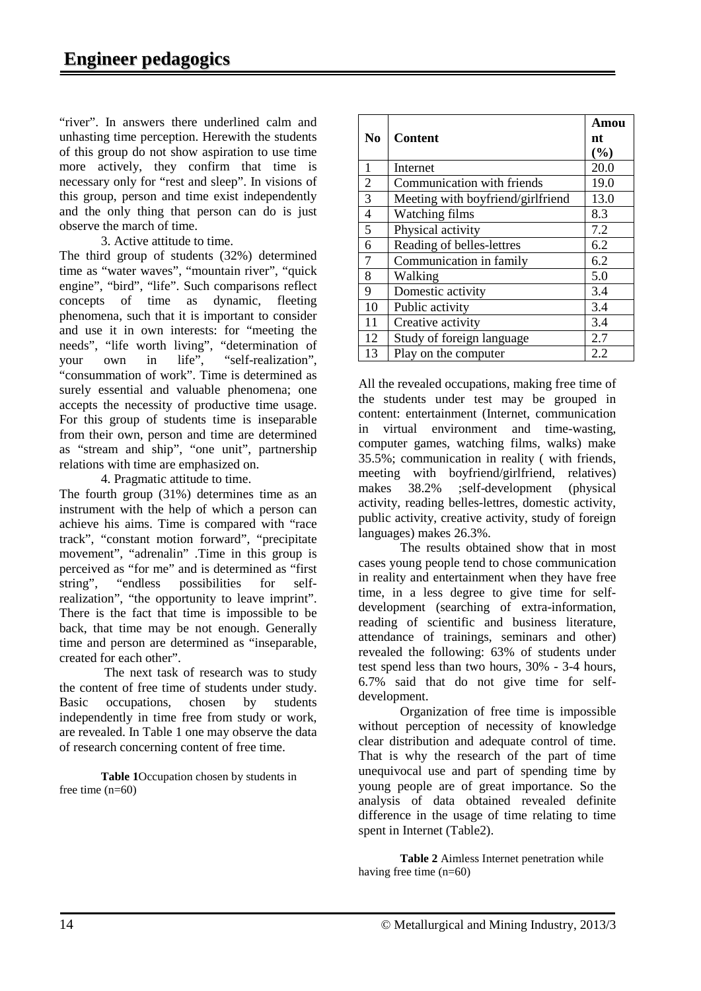"river". In answers there underlined calm and unhasting time perception. Herewith the students of this group do not show aspiration to use time more actively, they confirm that time is necessary only for "rest and sleep". In visions of this group, person and time exist independently and the only thing that person can do is just observe the march of time.

3. Active attitude to time.

The third group of students (32%) determined time as "water waves", "mountain river", "quick engine", "bird", "life". Such comparisons reflect concepts of time as dynamic, fleeting phenomena, such that it is important to consider and use it in own interests: for "meeting the needs", "life worth living", "determination of your own in life", "self-realization", "consummation of work". Time is determined as surely essential and valuable phenomena; one accepts the necessity of productive time usage. For this group of students time is inseparable from their own, person and time are determined as "stream and ship", "one unit", partnership relations with time are emphasized on.

4. Pragmatic attitude to time.

The fourth group (31%) determines time as an instrument with the help of which a person can achieve his aims. Time is compared with "race track", "constant motion forward", "precipitate movement", "adrenalin" .Time in this group is perceived as "for me" and is determined as "first string", "endless possibilities for selfrealization", "the opportunity to leave imprint". There is the fact that time is impossible to be back, that time may be not enough. Generally time and person are determined as "inseparable, created for each other".

The next task of research was to study the content of free time of students under study. Basic occupations, chosen by students independently in time free from study or work, are revealed. In Table 1 one may observe the data of research concerning content of free time.

**Table 1**Occupation chosen by students in free time (n=60)

|                |                                   | Amou |
|----------------|-----------------------------------|------|
| N <sub>0</sub> | <b>Content</b>                    | nt   |
|                |                                   | (%)  |
| $\mathbf{1}$   | Internet                          | 20.0 |
| $\overline{2}$ | Communication with friends        | 19.0 |
| $\overline{3}$ | Meeting with boyfriend/girlfriend | 13.0 |
| $\overline{4}$ | Watching films                    | 8.3  |
| $\overline{5}$ | Physical activity                 | 7.2  |
| 6              | Reading of belles-lettres         | 6.2  |
| $\overline{7}$ | Communication in family           | 6.2  |
| 8              | Walking                           | 5.0  |
| 9              | Domestic activity                 | 3.4  |
| 10             | Public activity                   | 3.4  |
| 11             | Creative activity                 | 3.4  |
| 12             | Study of foreign language         | 2.7  |
| 13             | Play on the computer              | 2.2  |

All the revealed occupations, making free time of the students under test may be grouped in content: entertainment (Internet, communication in virtual environment and time-wasting, computer games, watching films, walks) make 35.5%; communication in reality ( with friends, meeting with boyfriend/girlfriend, relatives) makes 38.2% ;self-development (physical activity, reading belles-lettres, domestic activity, public activity, creative activity, study of foreign languages) makes 26.3%.

The results obtained show that in most cases young people tend to chose communication in reality and entertainment when they have free time, in a less degree to give time for selfdevelopment (searching of extra-information, reading of scientific and business literature, attendance of trainings, seminars and other) revealed the following: 63% of students under test spend less than two hours, 30% - 3-4 hours, 6.7% said that do not give time for selfdevelopment.

Organization of free time is impossible without perception of necessity of knowledge clear distribution and adequate control of time. That is why the research of the part of time unequivocal use and part of spending time by young people are of great importance. So the analysis of data obtained revealed definite difference in the usage of time relating to time spent in Internet (Table2).

**Table 2** Aimless Internet penetration while having free time (n=60)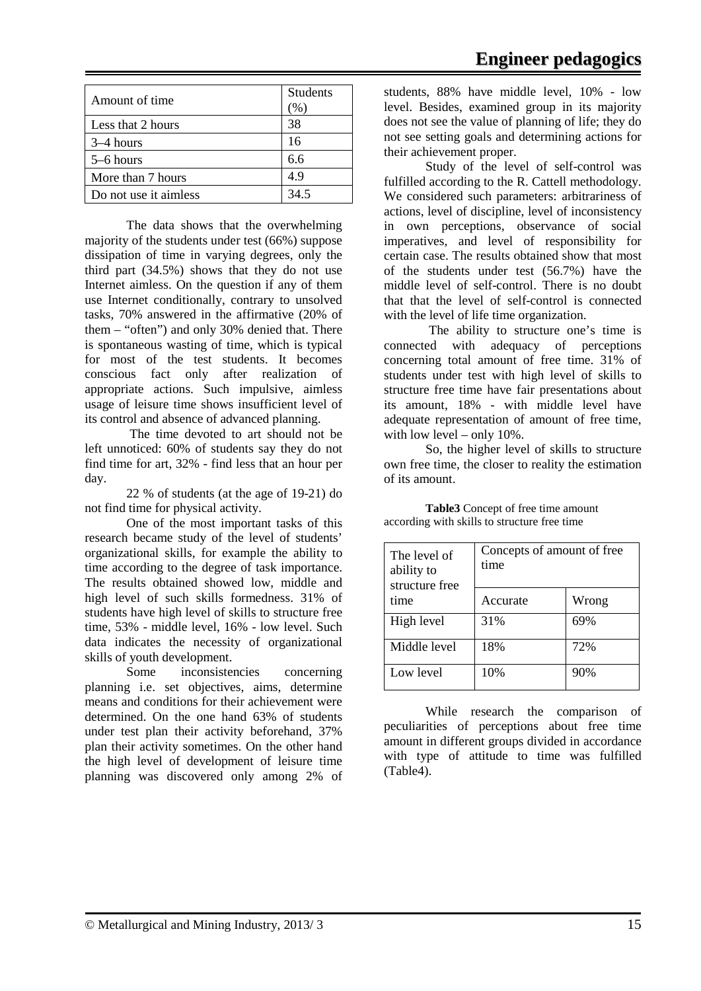| Amount of time        | <b>Students</b><br>$(90^{\circ})$ |
|-----------------------|-----------------------------------|
| Less that 2 hours     | 38                                |
| $3-4$ hours           | 16                                |
| 5–6 hours             | 6.6                               |
| More than 7 hours     | 4.9                               |
| Do not use it aimless | 34.5                              |

The data shows that the overwhelming majority of the students under test (66%) suppose dissipation of time in varying degrees, only the third part (34.5%) shows that they do not use Internet aimless. On the question if any of them use Internet conditionally, contrary to unsolved tasks, 70% answered in the affirmative (20% of them – "often") and only 30% denied that. There is spontaneous wasting of time, which is typical for most of the test students. It becomes conscious fact only after realization of appropriate actions. Such impulsive, aimless usage of leisure time shows insufficient level of its control and absence of advanced planning.

The time devoted to art should not be left unnoticed: 60% of students say they do not find time for art, 32% - find less that an hour per day.

22 % of students (at the age of 19-21) do not find time for physical activity.

One of the most important tasks of this research became study of the level of students' organizational skills, for example the ability to time according to the degree of task importance. The results obtained showed low, middle and high level of such skills formedness. 31% of students have high level of skills to structure free time, 53% - middle level, 16% - low level. Such data indicates the necessity of organizational skills of youth development.

Some inconsistencies concerning planning i.e. set objectives, aims, determine means and conditions for their achievement were determined. On the one hand 63% of students under test plan their activity beforehand, 37% plan their activity sometimes. On the other hand the high level of development of leisure time planning was discovered only among 2% of

students, 88% have middle level, 10% - low level. Besides, examined group in its majority does not see the value of planning of life; they do not see setting goals and determining actions for their achievement proper.

Study of the level of self-control was fulfilled according to the R. Cattell methodology. We considered such parameters: arbitrariness of actions, level of discipline, level of inconsistency in own perceptions, observance of social imperatives, and level of responsibility for certain case. The results obtained show that most of the students under test (56.7%) have the middle level of self-control. There is no doubt that that the level of self-control is connected with the level of life time organization.

The ability to structure one's time is connected with adequacy of perceptions concerning total amount of free time. 31% of students under test with high level of skills to structure free time have fair presentations about its amount, 18% - with middle level have adequate representation of amount of free time, with low level – only 10%.

So, the higher level of skills to structure own free time, the closer to reality the estimation of its amount.

| The level of<br>ability to<br>structure free | Concepts of amount of free<br>time |       |
|----------------------------------------------|------------------------------------|-------|
| time                                         | Accurate                           | Wrong |
| High level                                   | 31%                                | 69%   |
| Middle level                                 | 18%                                | 72%   |
| Low level                                    | 10%                                | 90%   |

**Table3** Concept of free time amount according with skills to structure free time

While research the comparison of peculiarities of perceptions about free time amount in different groups divided in accordance with type of attitude to time was fulfilled (Table4).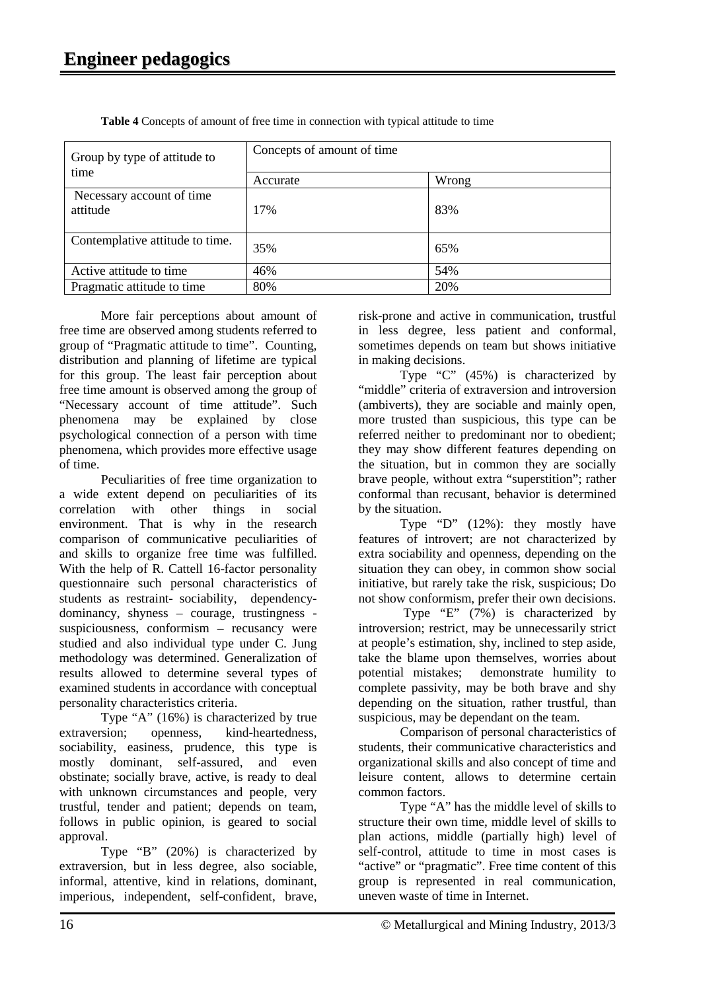| Group by type of attitude to          | Concepts of amount of time |       |
|---------------------------------------|----------------------------|-------|
| time                                  | Accurate                   | Wrong |
| Necessary account of time<br>attitude | 17%                        | 83%   |
| Contemplative attitude to time.       | 35%                        | 65%   |
| Active attitude to time               | 46%                        | 54%   |
| Pragmatic attitude to time            | 80%                        | 20%   |

**Table 4** Concepts of amount of free time in connection with typical attitude to time

More fair perceptions about amount of free time are observed among students referred to group of "Pragmatic attitude to time". Counting, distribution and planning of lifetime are typical for this group. The least fair perception about free time amount is observed among the group of "Necessary account of time attitude". Such phenomena may be explained by close psychological connection of a person with time phenomena, which provides more effective usage of time.

Peculiarities of free time organization to a wide extent depend on peculiarities of its correlation with other things in social environment. That is why in the research comparison of communicative peculiarities of and skills to organize free time was fulfilled. With the help of R. Cattell 16-factor personality questionnaire such personal characteristics of students as restraint- sociability, dependencydominancy, shyness – courage, trustingness suspiciousness, conformism – recusancy were studied and also individual type under C. Jung methodology was determined. Generalization of results allowed to determine several types of examined students in accordance with conceptual personality characteristics criteria.

Type "A" (16%) is characterized by true extraversion; openness, kind-heartedness, sociability, easiness, prudence, this type is mostly dominant, self-assured, and even obstinate; socially brave, active, is ready to deal with unknown circumstances and people, very trustful, tender and patient; depends on team, follows in public opinion, is geared to social approval.

Type "B" (20%) is characterized by extraversion, but in less degree, also sociable, informal, attentive, kind in relations, dominant, imperious, independent, self-confident, brave,

risk-prone and active in communication, trustful in less degree, less patient and conformal, sometimes depends on team but shows initiative in making decisions.

Type "C" (45%) is characterized by "middle" criteria of extraversion and introversion (ambiverts), they are sociable and mainly open, more trusted than suspicious, this type can be referred neither to predominant nor to obedient; they may show different features depending on the situation, but in common they are socially brave people, without extra "superstition"; rather conformal than recusant, behavior is determined by the situation.

Type "D" (12%): they mostly have features of introvert; are not characterized by extra sociability and openness, depending on the situation they can obey, in common show social initiative, but rarely take the risk, suspicious; Do not show conformism, prefer their own decisions.

Type "E"  $(7%)$  is characterized by introversion; restrict, may be unnecessarily strict at people's estimation, shy, inclined to step aside, take the blame upon themselves, worries about potential mistakes; demonstrate humility to complete passivity, may be both brave and shy depending on the situation, rather trustful, than suspicious, may be dependant on the team.

Comparison of personal characteristics of students, their communicative characteristics and organizational skills and also concept of time and leisure content, allows to determine certain common factors.

Type "A" has the middle level of skills to structure their own time, middle level of skills to plan actions, middle (partially high) level of self-control, attitude to time in most cases is "active" or "pragmatic". Free time content of this group is represented in real communication, uneven waste of time in Internet.